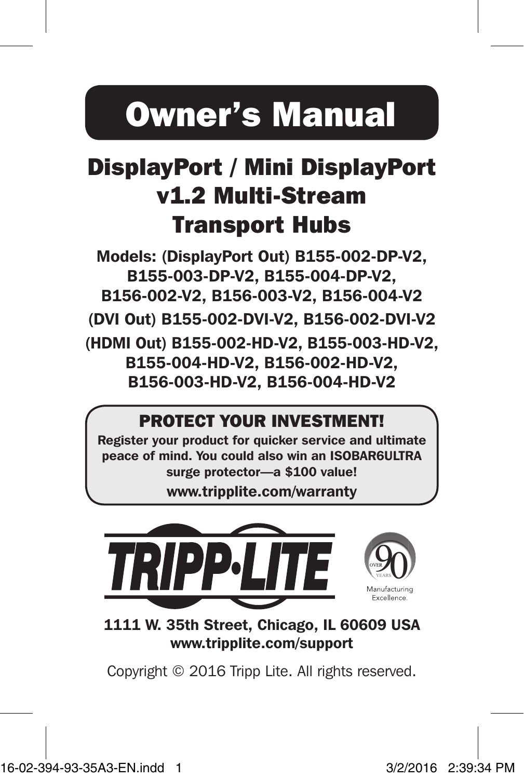# Owner's Manual

# DisplayPort / Mini DisplayPort v1.2 Multi-Stream Transport Hubs

Models: (DisplayPort Out) B155-002-DP-V2, B155-003-DP-V2, B155-004-DP-V2, B156-002-V2, B156-003-V2, B156-004-V2

(DVI Out) B155-002-DVI-V2, B156-002-DVI-V2 (HDMI Out) B155-002-HD-V2, B155-003-HD-V2, B155-004-HD-V2, B156-002-HD-V2,

B156-003-HD-V2, B156-004-HD-V2

### PROTECT YOUR INVESTMENT!

Register your product for quicker service and ultimate peace of mind. You could also win an ISOBAR6ULTRA surge protector—a \$100 value!

www.tripplite.com/warranty



1111 W. 35th Street, Chicago, IL 60609 USA www.tripplite.com/support

Copyright © 2016 Tripp Lite. All rights reserved.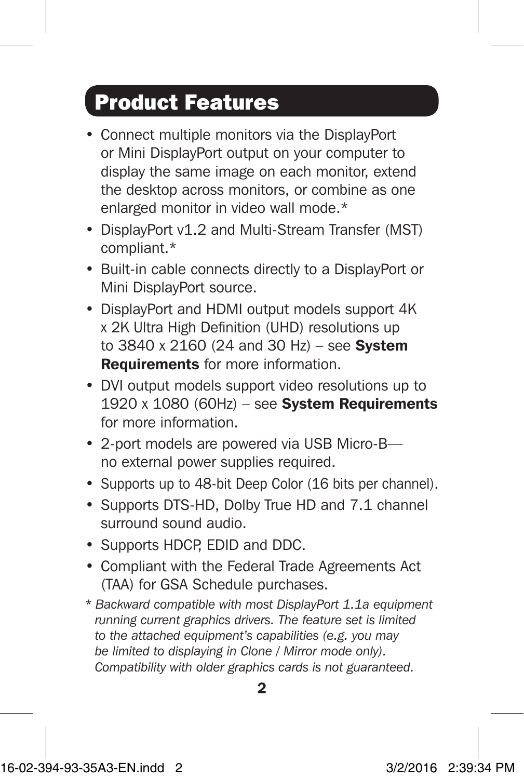# Product Features

- Connect multiple monitors via the DisplayPort or Mini DisplayPort output on your computer to display the same image on each monitor, extend the desktop across monitors, or combine as one enlarged monitor in video wall mode.\*
- DisplayPort v1.2 and Multi-Stream Transfer (MST) compliant.\*
- Built-in cable connects directly to a DisplayPort or Mini DisplayPort source.
- DisplayPort and HDMI output models support 4K x 2K Ultra High Definition (UHD) resolutions up to  $3840 \times 2160$  (24 and  $30$  Hz) – see System Requirements for more information.
- DVI output models support video resolutions up to  $1920 \times 1080$  (60Hz) – see System Requirements for more information.
- 2-port models are powered via USB Micro-B no external power supplies required.
- Supports up to 48-bit Deep Color (16 bits per channel).
- Supports DTS-HD, Dolby True HD and 7.1 channel surround sound audio.
- Supports HDCP, EDID and DDC.
- Compliant with the Federal Trade Agreements Act (TAA) for GSA Schedule purchases.
- *\* Backward compatible with most DisplayPort 1.1a equipment running current graphics drivers. The feature set is limited to the attached equipment's capabilities (e.g. you may be limited to displaying in Clone / Mirror mode only). Compatibility with older graphics cards is not guaranteed.*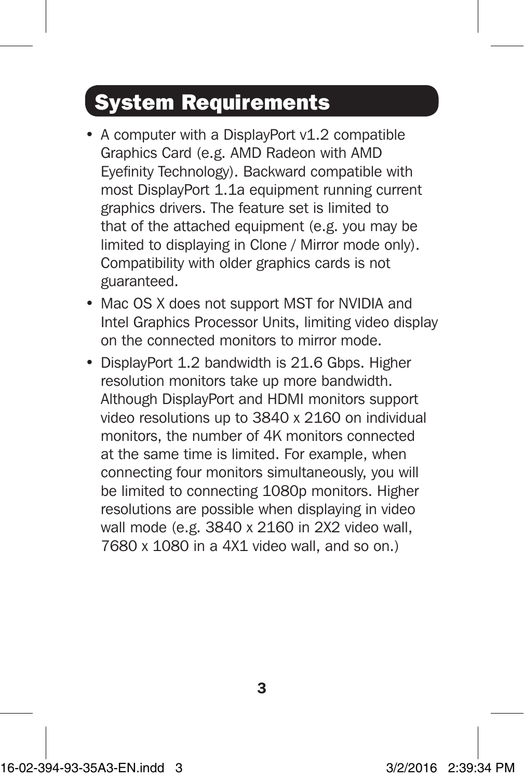# System Requirements

- A computer with a DisplayPort v1.2 compatible Graphics Card (e.g. AMD Radeon with AMD Eyefinity Technology). Backward compatible with most DisplayPort 1.1a equipment running current graphics drivers. The feature set is limited to that of the attached equipment (e.g. you may be limited to displaying in Clone / Mirror mode only). Compatibility with older graphics cards is not guaranteed.
- Mac OS X does not support MST for NVIDIA and Intel Graphics Processor Units, limiting video display on the connected monitors to mirror mode.
- DisplayPort 1.2 bandwidth is 21.6 Gbps. Higher resolution monitors take up more bandwidth. Although DisplayPort and HDMI monitors support video resolutions up to 3840 x 2160 on individual monitors, the number of 4K monitors connected at the same time is limited. For example, when connecting four monitors simultaneously, you will be limited to connecting 1080p monitors. Higher resolutions are possible when displaying in video wall mode (e.g. 3840 x 2160 in 2X2 video wall, 7680 x 1080 in a 4X1 video wall, and so on.)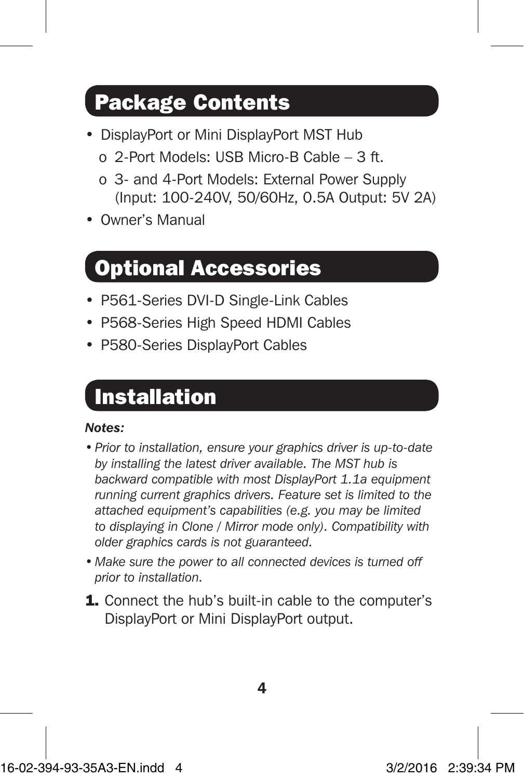# Package Contents

- DisplayPort or Mini DisplayPort MST Hub o 2-Port Models: USB Micro-B Cable – 3 ft.
	- o 3- and 4-Port Models: External Power Supply (Input: 100-240V, 50/60Hz, 0.5A Output: 5V 2A)
- Owner's Manual

### Optional Accessories

- P561-Series DVI-D Single-Link Cables
- P568-Series High Speed HDMI Cables
- P580-Series DisplayPort Cables

### Installation

#### *Notes:*

- *• Prior to installation, ensure your graphics driver is up-to-date by installing the latest driver available. The MST hub is backward compatible with most DisplayPort 1.1a equipment running current graphics drivers. Feature set is limited to the attached equipment's capabilities (e.g. you may be limited to displaying in Clone / Mirror mode only). Compatibility with older graphics cards is not guaranteed.*
- *• Make sure the power to all connected devices is turned off prior to installation.*
- 1. Connect the hub's built-in cable to the computer's DisplayPort or Mini DisplayPort output.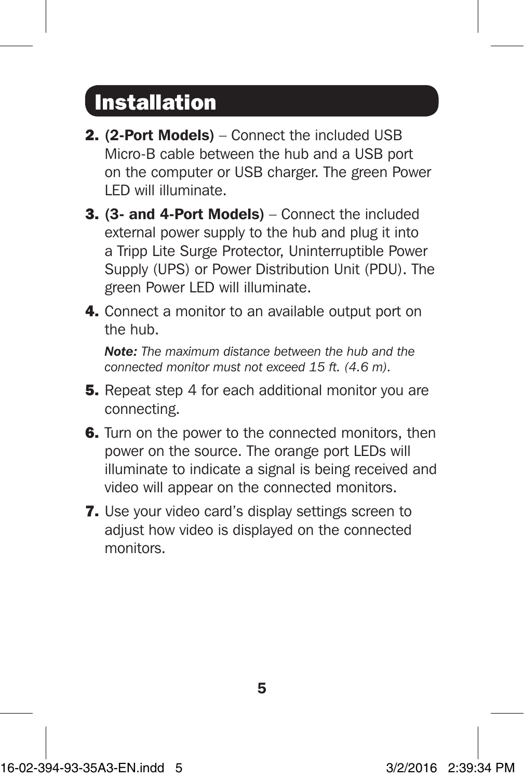## Installation

- 2. (2-Port Models) Connect the included USB Micro-B cable between the hub and a USB port on the computer or USB charger. The green Power LED will illuminate.
- 3. (3- and 4-Port Models) Connect the included external power supply to the hub and plug it into a Tripp Lite Surge Protector, Uninterruptible Power Supply (UPS) or Power Distribution Unit (PDU). The green Power LED will illuminate.
- 4. Connect a monitor to an available output port on the hub.

*Note: The maximum distance between the hub and the connected monitor must not exceed 15 ft. (4.6 m).*

- **5.** Repeat step 4 for each additional monitor you are connecting.
- **6.** Turn on the power to the connected monitors, then power on the source. The orange port LEDs will illuminate to indicate a signal is being received and video will appear on the connected monitors.
- 7. Use your video card's display settings screen to adjust how video is displayed on the connected monitors.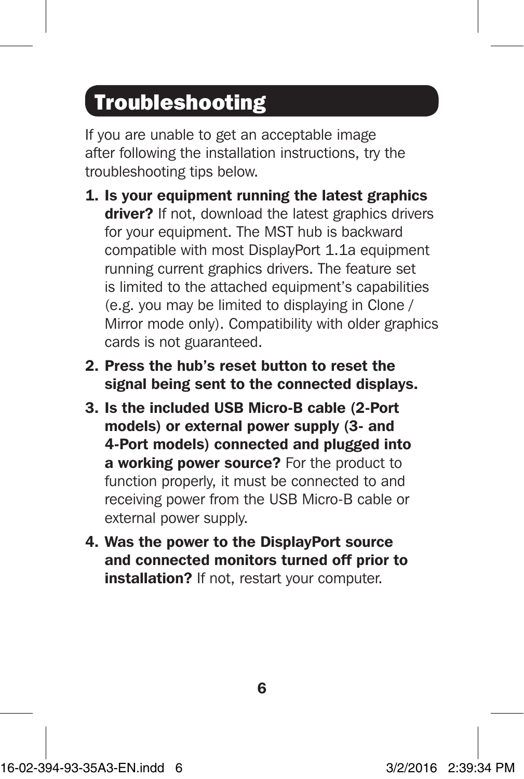# Troubleshooting

If you are unable to get an acceptable image after following the installation instructions, try the troubleshooting tips below.

- 1. Is your equipment running the latest graphics driver? If not, download the latest graphics drivers for your equipment. The MST hub is backward compatible with most DisplayPort 1.1a equipment running current graphics drivers. The feature set is limited to the attached equipment's capabilities (e.g. you may be limited to displaying in Clone / Mirror mode only). Compatibility with older graphics cards is not guaranteed.
- 2. Press the hub's reset button to reset the signal being sent to the connected displays.
- 3. Is the included USB Micro-B cable (2-Port models) or external power supply (3- and 4-Port models) connected and plugged into a working power source? For the product to function properly, it must be connected to and receiving power from the USB Micro-B cable or external power supply.
- 4. Was the power to the DisplayPort source and connected monitors turned off prior to installation? If not, restart your computer.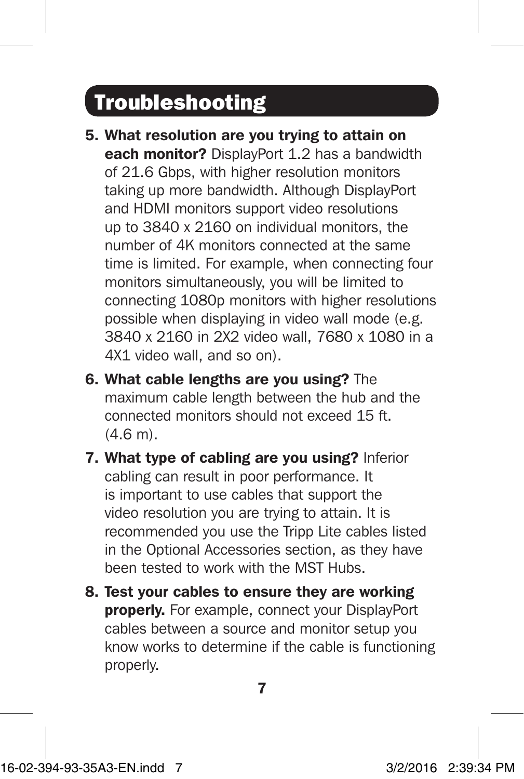# Troubleshooting

- 5. What resolution are you trying to attain on each monitor? DisplayPort 1.2 has a bandwidth of 21.6 Gbps, with higher resolution monitors taking up more bandwidth. Although DisplayPort and HDMI monitors support video resolutions up to 3840 x 2160 on individual monitors, the number of 4K monitors connected at the same time is limited. For example, when connecting four monitors simultaneously, you will be limited to connecting 1080p monitors with higher resolutions possible when displaying in video wall mode (e.g. 3840 x 2160 in 2X2 video wall, 7680 x 1080 in a 4X1 video wall, and so on).
- 6. What cable lengths are you using? The maximum cable length between the hub and the connected monitors should not exceed 15 ft. (4.6 m).
- 7. What type of cabling are you using? Inferior cabling can result in poor performance. It is important to use cables that support the video resolution you are trying to attain. It is recommended you use the Tripp Lite cables listed in the Optional Accessories section, as they have been tested to work with the MST Hubs.
- 8. Test your cables to ensure they are working **properly.** For example, connect your DisplayPort cables between a source and monitor setup you know works to determine if the cable is functioning properly.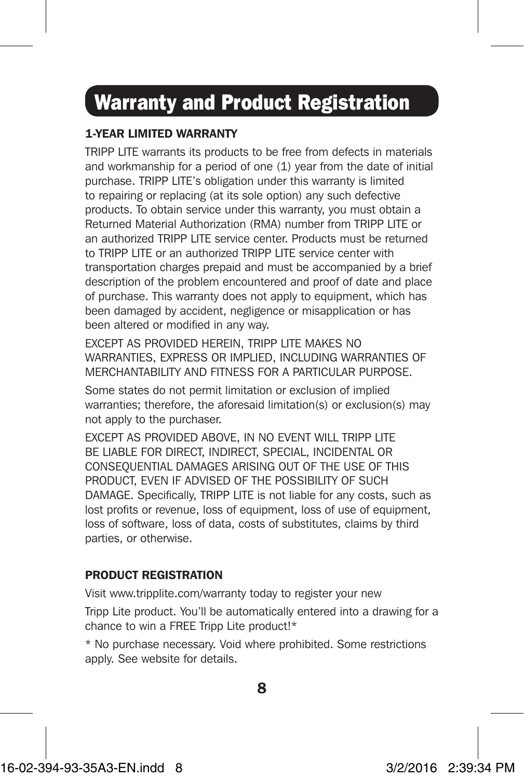# Warranty and Product Registration

### 1-YEAR LIMITED WARRANTY

TRIPP LITE warrants its products to be free from defects in materials and workmanship for a period of one (1) year from the date of initial purchase. TRIPP LITE's obligation under this warranty is limited to repairing or replacing (at its sole option) any such defective products. To obtain service under this warranty, you must obtain a Returned Material Authorization (RMA) number from TRIPP LITE or an authorized TRIPP LITE service center. Products must be returned to TRIPP LITE or an authorized TRIPP LITE service center with transportation charges prepaid and must be accompanied by a brief description of the problem encountered and proof of date and place of purchase. This warranty does not apply to equipment, which has been damaged by accident, negligence or misapplication or has been altered or modified in any way.

EXCEPT AS PROVIDED HEREIN, TRIPP LITE MAKES NO WARRANTIES, EXPRESS OR IMPLIED, INCLUDING WARRANTIES OF MERCHANTABILITY AND FITNESS FOR A PARTICULAR PURPOSE.

Some states do not permit limitation or exclusion of implied warranties; therefore, the aforesaid limitation(s) or exclusion(s) may not apply to the purchaser.

EXCEPT AS PROVIDED ABOVE, IN NO EVENT WILL TRIPP LITE BE LIABLE FOR DIRECT, INDIRECT, SPECIAL, INCIDENTAL OR CONSEQUENTIAL DAMAGES ARISING OUT OF THE USE OF THIS PRODUCT, EVEN IF ADVISED OF THE POSSIBILITY OF SUCH DAMAGE. Specifically, TRIPP LITE is not liable for any costs, such as lost profits or revenue, loss of equipment, loss of use of equipment, loss of software, loss of data, costs of substitutes, claims by third parties, or otherwise.

#### PRODUCT REGISTRATION

Visit www.tripplite.com/warranty today to register your new

Tripp Lite product. You'll be automatically entered into a drawing for a chance to win a FREE Tripp Lite product!\*

\* No purchase necessary. Void where prohibited. Some restrictions apply. See website for details.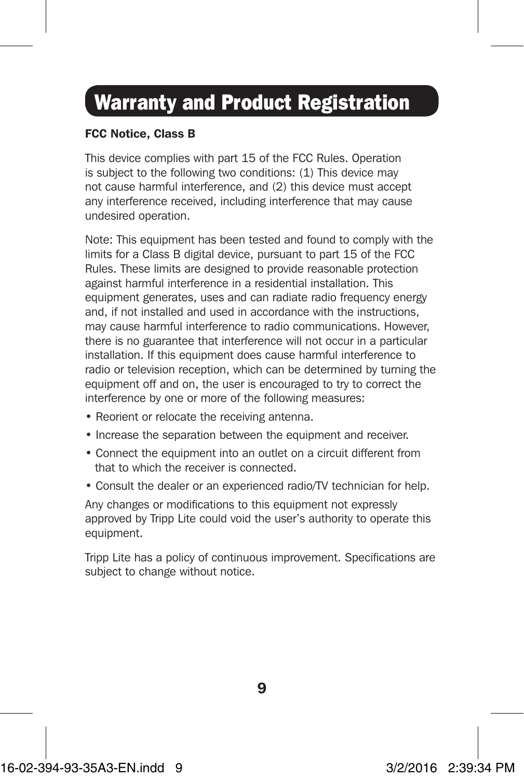# Warranty and Product Registration

#### FCC Notice, Class B

This device complies with part 15 of the FCC Rules. Operation is subject to the following two conditions: (1) This device may not cause harmful interference, and (2) this device must accept any interference received, including interference that may cause undesired operation.

Note: This equipment has been tested and found to comply with the limits for a Class B digital device, pursuant to part 15 of the FCC Rules. These limits are designed to provide reasonable protection against harmful interference in a residential installation. This equipment generates, uses and can radiate radio frequency energy and, if not installed and used in accordance with the instructions, may cause harmful interference to radio communications. However, there is no guarantee that interference will not occur in a particular installation. If this equipment does cause harmful interference to radio or television reception, which can be determined by turning the equipment off and on, the user is encouraged to try to correct the interference by one or more of the following measures:

- Reorient or relocate the receiving antenna.
- Increase the separation between the equipment and receiver.
- Connect the equipment into an outlet on a circuit different from that to which the receiver is connected.
- Consult the dealer or an experienced radio/TV technician for help.

Any changes or modifications to this equipment not expressly approved by Tripp Lite could void the user's authority to operate this equipment.

Tripp Lite has a policy of continuous improvement. Specifications are subject to change without notice.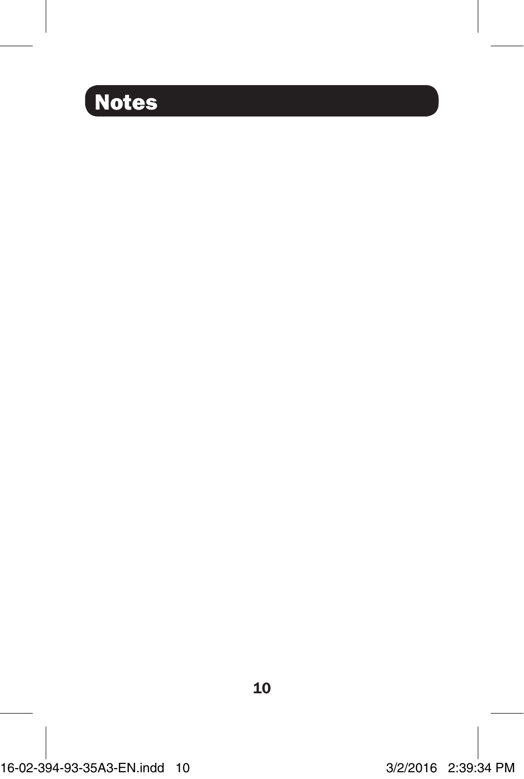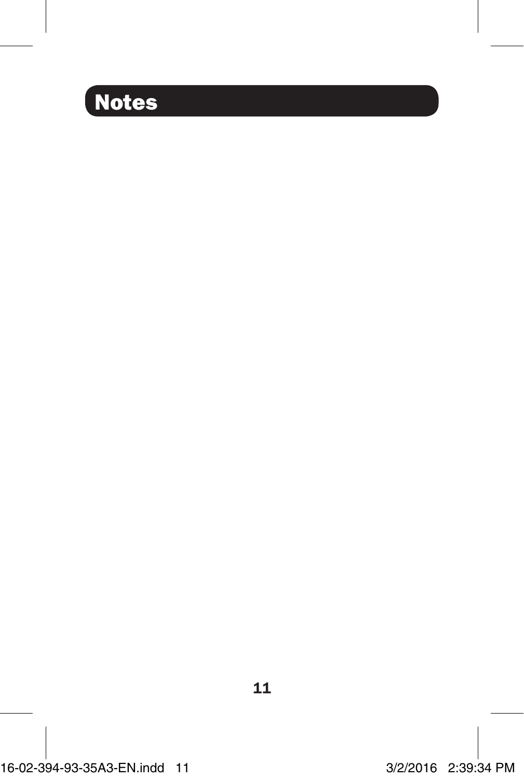